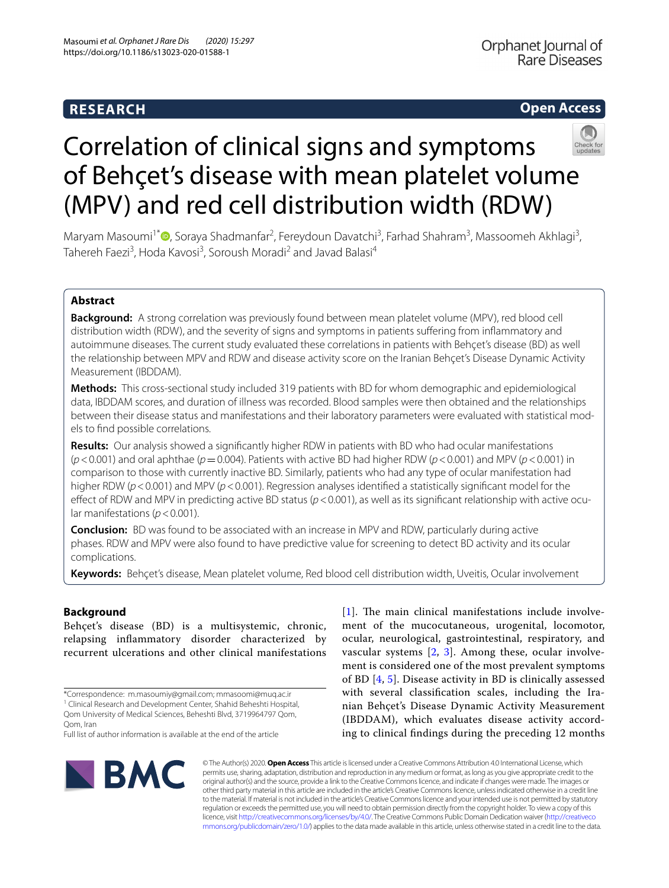# **RESEARCH**

# **Open Access**



# Correlation of clinical signs and symptoms of Behçet's disease with mean platelet volume (MPV) and red cell distribution width (RDW)

Maryam Masoumi<sup>1[\\*](http://orcid.org/0000-0003-2635-2656)</sup> (D, Soraya Shadmanfar<sup>2</sup>, Fereydoun Davatchi<sup>3</sup>, Farhad Shahram<sup>3</sup>, Massoomeh Akhlagi<sup>3</sup>, Tahereh Faezi<sup>3</sup>, Hoda Kavosi<sup>3</sup>, Soroush Moradi<sup>2</sup> and Javad Balasi<sup>4</sup>

# **Abstract**

**Background:** A strong correlation was previously found between mean platelet volume (MPV), red blood cell distribution width (RDW), and the severity of signs and symptoms in patients sufering from infammatory and autoimmune diseases. The current study evaluated these correlations in patients with Behçet's disease (BD) as well the relationship between MPV and RDW and disease activity score on the Iranian Behçet's Disease Dynamic Activity Measurement (IBDDAM).

**Methods:** This cross-sectional study included 319 patients with BD for whom demographic and epidemiological data, IBDDAM scores, and duration of illness was recorded. Blood samples were then obtained and the relationships between their disease status and manifestations and their laboratory parameters were evaluated with statistical models to fnd possible correlations.

**Results:** Our analysis showed a signifcantly higher RDW in patients with BD who had ocular manifestations  $(p < 0.001)$  and oral aphthae ( $p = 0.004$ ). Patients with active BD had higher RDW ( $p < 0.001$ ) and MPV ( $p < 0.001$ ) in comparison to those with currently inactive BD. Similarly, patients who had any type of ocular manifestation had higher RDW ( $p$ <0.001) and MPV ( $p$ <0.001). Regression analyses identified a statistically significant model for the efect of RDW and MPV in predicting active BD status (*p*<0.001), as well as its signifcant relationship with active ocular manifestations (*p*<0.001).

**Conclusion:** BD was found to be associated with an increase in MPV and RDW, particularly during active phases. RDW and MPV were also found to have predictive value for screening to detect BD activity and its ocular complications.

**Keywords:** Behçet's disease, Mean platelet volume, Red blood cell distribution width, Uveitis, Ocular involvement

## **Background**

Behçet's disease (BD) is a multisystemic, chronic, relapsing infammatory disorder characterized by recurrent ulcerations and other clinical manifestations





© The Author(s) 2020. **Open Access** This article is licensed under a Creative Commons Attribution 4.0 International License, which permits use, sharing, adaptation, distribution and reproduction in any medium or format, as long as you give appropriate credit to the original author(s) and the source, provide a link to the Creative Commons licence, and indicate if changes were made. The images or other third party material in this article are included in the article's Creative Commons licence, unless indicated otherwise in a credit line to the material. If material is not included in the article's Creative Commons licence and your intended use is not permitted by statutory regulation or exceeds the permitted use, you will need to obtain permission directly from the copyright holder. To view a copy of this licence, visit [http://creativecommons.org/licenses/by/4.0/.](http://creativecommons.org/licenses/by/4.0/) The Creative Commons Public Domain Dedication waiver ([http://creativeco](http://creativecommons.org/publicdomain/zero/1.0/) [mmons.org/publicdomain/zero/1.0/](http://creativecommons.org/publicdomain/zero/1.0/)) applies to the data made available in this article, unless otherwise stated in a credit line to the data.

<sup>\*</sup>Correspondence: m.masoumiy@gmail.com; mmasoomi@muq.ac.ir <sup>1</sup> Clinical Research and Development Center, Shahid Beheshti Hospital, Qom University of Medical Sciences, Beheshti Blvd, 3719964797 Qom, Qom, Iran

Full list of author information is available at the end of the article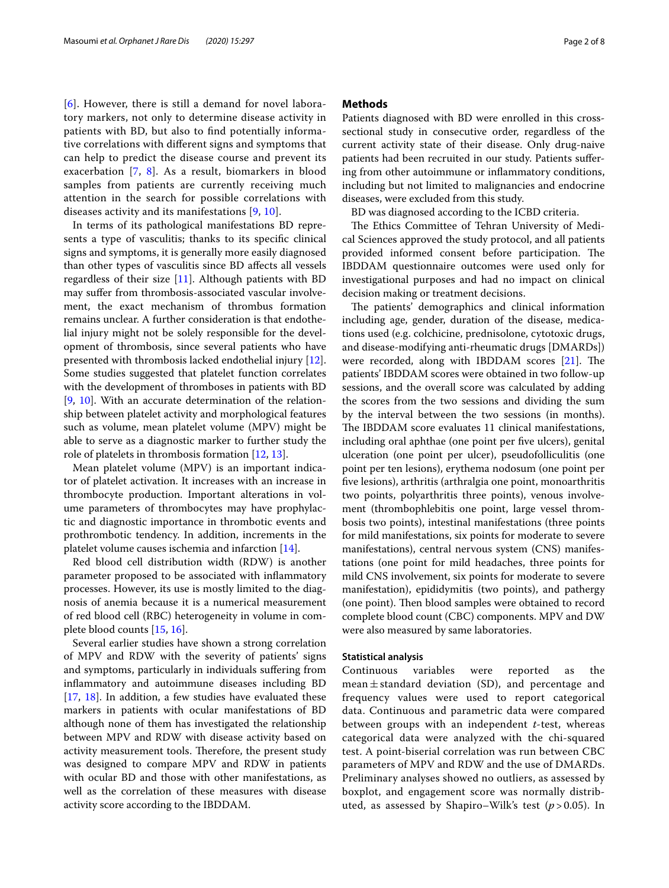[[6](#page-6-5)]. However, there is still a demand for novel laboratory markers, not only to determine disease activity in patients with BD, but also to fnd potentially informative correlations with diferent signs and symptoms that can help to predict the disease course and prevent its exacerbation [\[7,](#page-6-6) [8](#page-6-7)]. As a result, biomarkers in blood samples from patients are currently receiving much attention in the search for possible correlations with diseases activity and its manifestations [[9](#page-6-8), [10](#page-6-9)].

In terms of its pathological manifestations BD represents a type of vasculitis; thanks to its specifc clinical signs and symptoms, it is generally more easily diagnosed than other types of vasculitis since BD afects all vessels regardless of their size [\[11](#page-6-10)]. Although patients with BD may sufer from thrombosis-associated vascular involvement, the exact mechanism of thrombus formation remains unclear. A further consideration is that endothelial injury might not be solely responsible for the development of thrombosis, since several patients who have presented with thrombosis lacked endothelial injury [\[12](#page-6-11)]. Some studies suggested that platelet function correlates with the development of thromboses in patients with BD [[9,](#page-6-8) [10](#page-6-9)]. With an accurate determination of the relationship between platelet activity and morphological features such as volume, mean platelet volume (MPV) might be able to serve as a diagnostic marker to further study the role of platelets in thrombosis formation [\[12](#page-6-11), [13](#page-6-12)].

Mean platelet volume (MPV) is an important indicator of platelet activation. It increases with an increase in thrombocyte production. Important alterations in volume parameters of thrombocytes may have prophylactic and diagnostic importance in thrombotic events and prothrombotic tendency. In addition, increments in the platelet volume causes ischemia and infarction [\[14\]](#page-6-13).

Red blood cell distribution width (RDW) is another parameter proposed to be associated with infammatory processes. However, its use is mostly limited to the diagnosis of anemia because it is a numerical measurement of red blood cell (RBC) heterogeneity in volume in complete blood counts [[15,](#page-6-14) [16\]](#page-6-15).

Several earlier studies have shown a strong correlation of MPV and RDW with the severity of patients' signs and symptoms, particularly in individuals sufering from infammatory and autoimmune diseases including BD [[17,](#page-6-16) [18](#page-6-17)]. In addition, a few studies have evaluated these markers in patients with ocular manifestations of BD although none of them has investigated the relationship between MPV and RDW with disease activity based on activity measurement tools. Therefore, the present study was designed to compare MPV and RDW in patients with ocular BD and those with other manifestations, as well as the correlation of these measures with disease activity score according to the IBDDAM.

#### **Methods**

Patients diagnosed with BD were enrolled in this crosssectional study in consecutive order, regardless of the current activity state of their disease. Only drug-naive patients had been recruited in our study. Patients sufering from other autoimmune or infammatory conditions, including but not limited to malignancies and endocrine diseases, were excluded from this study.

BD was diagnosed according to the ICBD criteria.

The Ethics Committee of Tehran University of Medical Sciences approved the study protocol, and all patients provided informed consent before participation. The IBDDAM questionnaire outcomes were used only for investigational purposes and had no impact on clinical decision making or treatment decisions.

The patients' demographics and clinical information including age, gender, duration of the disease, medications used (e.g. colchicine, prednisolone, cytotoxic drugs, and disease-modifying anti-rheumatic drugs [DMARDs]) were recorded, along with IBDDAM scores  $[21]$  $[21]$ . The patients' IBDDAM scores were obtained in two follow-up sessions, and the overall score was calculated by adding the scores from the two sessions and dividing the sum by the interval between the two sessions (in months). The IBDDAM score evaluates 11 clinical manifestations, including oral aphthae (one point per five ulcers), genital ulceration (one point per ulcer), pseudofolliculitis (one point per ten lesions), erythema nodosum (one point per fve lesions), arthritis (arthralgia one point, monoarthritis two points, polyarthritis three points), venous involvement (thrombophlebitis one point, large vessel thrombosis two points), intestinal manifestations (three points for mild manifestations, six points for moderate to severe manifestations), central nervous system (CNS) manifestations (one point for mild headaches, three points for mild CNS involvement, six points for moderate to severe manifestation), epididymitis (two points), and pathergy (one point). Then blood samples were obtained to record complete blood count (CBC) components. MPV and DW were also measured by same laboratories.

#### **Statistical analysis**

Continuous variables were reported as the mean $\pm$ standard deviation (SD), and percentage and frequency values were used to report categorical data. Continuous and parametric data were compared between groups with an independent *t*-test, whereas categorical data were analyzed with the chi-squared test. A point-biserial correlation was run between CBC parameters of MPV and RDW and the use of DMARDs. Preliminary analyses showed no outliers, as assessed by boxplot, and engagement score was normally distributed, as assessed by Shapiro–Wilk's test (*p* > 0.05). In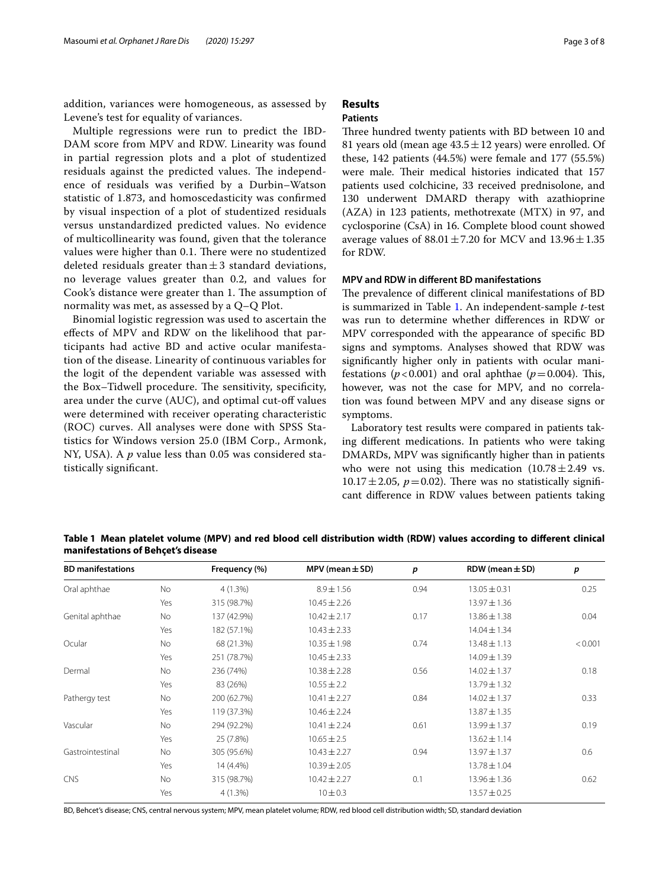addition, variances were homogeneous, as assessed by Levene's test for equality of variances.

Multiple regressions were run to predict the IBD-DAM score from MPV and RDW. Linearity was found in partial regression plots and a plot of studentized residuals against the predicted values. The independence of residuals was verifed by a Durbin–Watson statistic of 1.873, and homoscedasticity was confrmed by visual inspection of a plot of studentized residuals versus unstandardized predicted values. No evidence of multicollinearity was found, given that the tolerance values were higher than 0.1. There were no studentized deleted residuals greater than  $\pm 3$  standard deviations, no leverage values greater than 0.2, and values for Cook's distance were greater than 1. The assumption of normality was met, as assessed by a Q–Q Plot.

Binomial logistic regression was used to ascertain the efects of MPV and RDW on the likelihood that participants had active BD and active ocular manifestation of the disease. Linearity of continuous variables for the logit of the dependent variable was assessed with the Box–Tidwell procedure. The sensitivity, specificity, area under the curve (AUC), and optimal cut-of values were determined with receiver operating characteristic (ROC) curves. All analyses were done with SPSS Statistics for Windows version 25.0 (IBM Corp., Armonk, NY, USA). A *p* value less than 0.05 was considered statistically signifcant.

#### **Results Patients**

Three hundred twenty patients with BD between 10 and 81 years old (mean age  $43.5 \pm 12$  years) were enrolled. Of these, 142 patients (44.5%) were female and 177 (55.5%) were male. Their medical histories indicated that 157 patients used colchicine, 33 received prednisolone, and 130 underwent DMARD therapy with azathioprine (AZA) in 123 patients, methotrexate (MTX) in 97, and cyclosporine (CsA) in 16. Complete blood count showed average values of  $88.01 \pm 7.20$  for MCV and  $13.96 \pm 1.35$ for RDW.

#### **MPV and RDW in diferent BD manifestations**

The prevalence of different clinical manifestations of BD is summarized in Table [1](#page-2-0). An independent-sample *t*-test was run to determine whether diferences in RDW or MPV corresponded with the appearance of specifc BD signs and symptoms. Analyses showed that RDW was signifcantly higher only in patients with ocular manifestations ( $p < 0.001$ ) and oral aphthae ( $p = 0.004$ ). This, however, was not the case for MPV, and no correlation was found between MPV and any disease signs or symptoms.

Laboratory test results were compared in patients taking diferent medications. In patients who were taking DMARDs, MPV was signifcantly higher than in patients who were not using this medication  $(10.78 \pm 2.49 \text{ vs.})$  $10.17 \pm 2.05$ ,  $p = 0.02$ ). There was no statistically significant diference in RDW values between patients taking

<span id="page-2-0"></span>**Table 1 Mean platelet volume (MPV) and red blood cell distribution width (RDW) values according to diferent clinical manifestations of Behçet's disease**

| <b>BD</b> manifestations |           | Frequency (%) | MPV (mean $\pm$ SD) | p    | $RDW$ (mean $\pm SD$ ) | p       |
|--------------------------|-----------|---------------|---------------------|------|------------------------|---------|
| Oral aphthae             | <b>No</b> | $4(1.3\%)$    | $8.9 \pm 1.56$      | 0.94 | $13.05 \pm 0.31$       | 0.25    |
|                          | Yes       | 315 (98.7%)   | $10.45 \pm 2.26$    |      | $13.97 \pm 1.36$       |         |
| Genital aphthae          | No        | 137 (42.9%)   | $10.42 \pm 2.17$    | 0.17 | $13.86 \pm 1.38$       | 0.04    |
|                          | Yes       | 182 (57.1%)   | $10.43 \pm 2.33$    |      | $14.04 \pm 1.34$       |         |
| Ocular                   | No        | 68 (21.3%)    | $10.35 \pm 1.98$    | 0.74 | $13.48 \pm 1.13$       | < 0.001 |
|                          | Yes       | 251 (78.7%)   | $10.45 \pm 2.33$    |      | 14.09±1.39             |         |
| Dermal                   | No        | 236 (74%)     | $10.38 \pm 2.28$    | 0.56 | $14.02 \pm 1.37$       | 0.18    |
|                          | Yes       | 83 (26%)      | $10.55 \pm 2.2$     |      | 13.79±1.32             |         |
| Pathergy test            | No.       | 200 (62.7%)   | $10.41 \pm 2.27$    | 0.84 | $14.02 \pm 1.37$       | 0.33    |
|                          | Yes       | 119 (37.3%)   | $10.46 \pm 2.24$    |      | $13.87 \pm 1.35$       |         |
| Vascular                 | No        | 294 (92.2%)   | $10.41 \pm 2.24$    | 0.61 | 13.99 ± 1.37           | 0.19    |
|                          | Yes       | 25 (7.8%)     | $10.65 \pm 2.5$     |      | $13.62 \pm 1.14$       |         |
| Gastrointestinal         | No        | 305 (95.6%)   | $10.43 \pm 2.27$    | 0.94 | $13.97 \pm 1.37$       | 0.6     |
|                          | Yes       | 14 (4.4%)     | $10.39 \pm 2.05$    |      | 13.78 ± 1.04           |         |
| <b>CNS</b>               | No        | 315 (98.7%)   | $10.42 \pm 2.27$    | 0.1  | $13.96 \pm 1.36$       | 0.62    |
|                          | Yes       | 4(1.3%)       | $10 \pm 0.3$        |      | $13.57 \pm 0.25$       |         |

BD, Behcet's disease; CNS, central nervous system; MPV, mean platelet volume; RDW, red blood cell distribution width; SD, standard deviation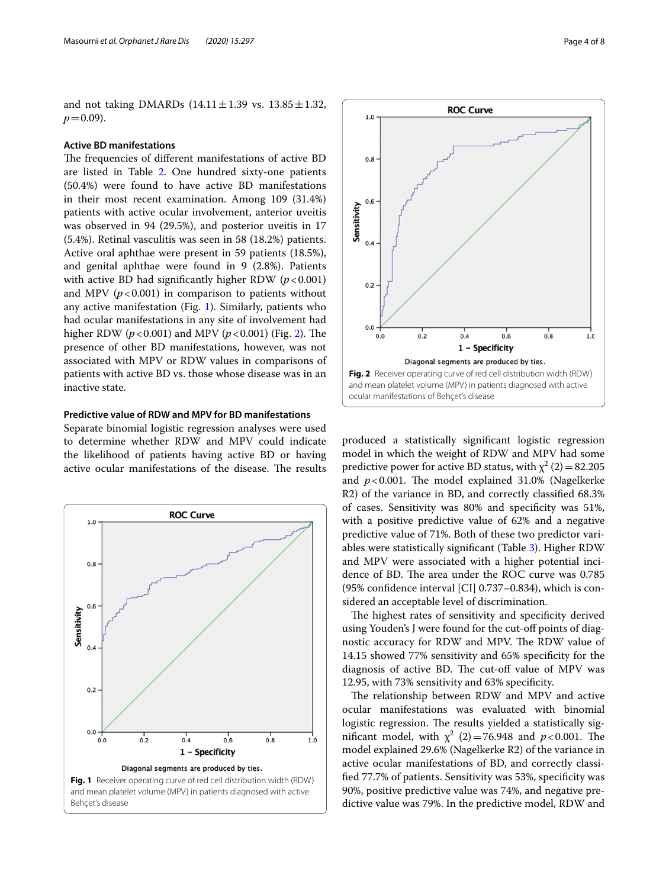and not taking DMARDs  $(14.11 \pm 1.39 \text{ vs. } 13.85 \pm 1.32,$  $p = 0.09$ ).

#### **Active BD manifestations**

The frequencies of different manifestations of active BD are listed in Table [2](#page-4-0). One hundred sixty-one patients (50.4%) were found to have active BD manifestations in their most recent examination. Among 109 (31.4%) patients with active ocular involvement, anterior uveitis was observed in 94 (29.5%), and posterior uveitis in 17 (5.4%). Retinal vasculitis was seen in 58 (18.2%) patients. Active oral aphthae were present in 59 patients (18.5%), and genital aphthae were found in 9 (2.8%). Patients with active BD had significantly higher RDW  $(p<0.001)$ and MPV  $(p<0.001)$  in comparison to patients without any active manifestation (Fig. [1](#page-3-0)). Similarly, patients who had ocular manifestations in any site of involvement had higher RDW ( $p < 0.001$ ) and MPV ( $p < 0.001$ ) (Fig. [2](#page-3-1)). The presence of other BD manifestations, however, was not associated with MPV or RDW values in comparisons of patients with active BD vs. those whose disease was in an inactive state.

#### **Predictive value of RDW and MPV for BD manifestations**

Separate binomial logistic regression analyses were used to determine whether RDW and MPV could indicate the likelihood of patients having active BD or having active ocular manifestations of the disease. The results





<span id="page-3-1"></span>produced a statistically signifcant logistic regression model in which the weight of RDW and MPV had some predictive power for active BD status, with  $\chi^2$  (2) = 82.205 and  $p < 0.001$ . The model explained 31.0% (Nagelkerke R2) of the variance in BD, and correctly classifed 68.3% of cases. Sensitivity was 80% and specifcity was 51%, with a positive predictive value of 62% and a negative predictive value of 71%. Both of these two predictor variables were statistically signifcant (Table [3](#page-4-1)). Higher RDW and MPV were associated with a higher potential incidence of BD. The area under the ROC curve was 0.785 (95% confdence interval [CI] 0.737–0.834), which is considered an acceptable level of discrimination.

The highest rates of sensitivity and specificity derived using Youden's J were found for the cut-off points of diagnostic accuracy for RDW and MPV. The RDW value of 14.15 showed 77% sensitivity and 65% specifcity for the diagnosis of active BD. The cut-off value of MPV was 12.95, with 73% sensitivity and 63% specifcity.

<span id="page-3-0"></span>The relationship between RDW and MPV and active ocular manifestations was evaluated with binomial logistic regression. The results yielded a statistically significant model, with  $\chi^2$  (2)=76.948 and *p* < 0.001. The model explained 29.6% (Nagelkerke R2) of the variance in active ocular manifestations of BD, and correctly classifed 77.7% of patients. Sensitivity was 53%, specifcity was 90%, positive predictive value was 74%, and negative predictive value was 79%. In the predictive model, RDW and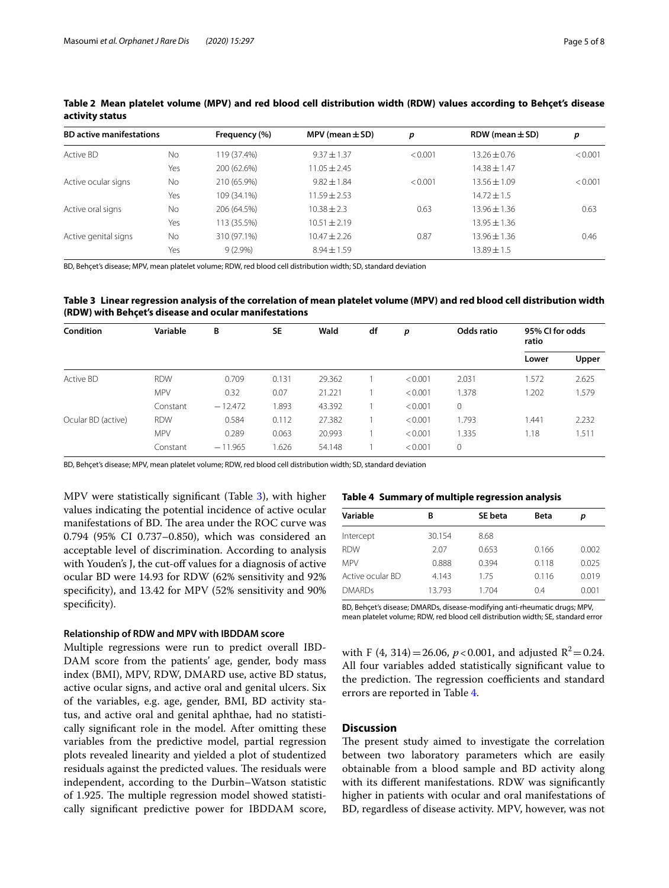| <b>BD</b> active manifestations |     | Frequency (%) | $MPV$ (mean $\pm$ SD) | p       | $RDW$ (mean $\pm SD$ ) | р       |
|---------------------------------|-----|---------------|-----------------------|---------|------------------------|---------|
| Active BD                       | No  | 119 (37.4%)   | $9.37 + 1.37$         | < 0.001 | $13.26 + 0.76$         | < 0.001 |
|                                 | Yes | 200 (62.6%)   | $11.05 \pm 2.45$      |         | $14.38 \pm 1.47$       |         |
| Active ocular signs             | No  | 210 (65.9%)   | $9.82 + 1.84$         | < 0.001 | $13.56 \pm 1.09$       | < 0.001 |
|                                 | Yes | 109 (34.1%)   | $11.59 \pm 2.53$      |         | $14.72 \pm 1.5$        |         |
| Active oral signs               | No  | 206 (64.5%)   | $10.38 \pm 2.3$       | 0.63    | $13.96 \pm 1.36$       | 0.63    |
|                                 | Yes | 113 (35.5%)   | $10.51 \pm 2.19$      |         | $13.95 \pm 1.36$       |         |
| Active genital signs            | No  | 310 (97.1%)   | $10.47 + 2.26$        | 0.87    | $13.96 \pm 1.36$       | 0.46    |
|                                 | Yes | $9(2.9\%)$    | $8.94 \pm 1.59$       |         | $13.89 + 1.5$          |         |

<span id="page-4-0"></span>**Table 2 Mean platelet volume (MPV) and red blood cell distribution width (RDW) values according to Behçet's disease activity status**

BD, Behçet's disease; MPV, mean platelet volume; RDW, red blood cell distribution width; SD, standard deviation

#### <span id="page-4-1"></span>**Table 3 Linear regression analysis of the correlation of mean platelet volume (MPV) and red blood cell distribution width (RDW) with Behçet's disease and ocular manifestations**

| <b>Condition</b>   | Variable   | В         | <b>SE</b> | Wald   | df | p       | Odds ratio   | 95% CI for odds<br>ratio |       |
|--------------------|------------|-----------|-----------|--------|----|---------|--------------|--------------------------|-------|
|                    |            |           |           |        |    |         |              | Lower                    | Upper |
| Active BD          | <b>RDW</b> | 0.709     | 0.131     | 29.362 |    | < 0.001 | 2.031        | 1.572                    | 2.625 |
|                    | <b>MPV</b> | 0.32      | 0.07      | 21.221 |    | < 0.001 | 1.378        | 1.202                    | 1.579 |
|                    | Constant   | $-12.472$ | 1.893     | 43.392 |    | < 0.001 | $\mathbf{0}$ |                          |       |
| Ocular BD (active) | <b>RDW</b> | 0.584     | 0.112     | 27.382 |    | < 0.001 | 1.793        | 1.441                    | 2.232 |
|                    | <b>MPV</b> | 0.289     | 0.063     | 20.993 |    | < 0.001 | 1.335        | 1.18                     | 1.511 |
|                    | Constant   | $-11.965$ | 1.626     | 54.148 |    | < 0.001 | 0            |                          |       |

BD, Behçet's disease; MPV, mean platelet volume; RDW, red blood cell distribution width; SD, standard deviation

MPV were statistically signifcant (Table [3\)](#page-4-1), with higher values indicating the potential incidence of active ocular manifestations of BD. The area under the ROC curve was 0.794 (95% CI 0.737–0.850), which was considered an acceptable level of discrimination. According to analysis with Youden's J, the cut-off values for a diagnosis of active ocular BD were 14.93 for RDW (62% sensitivity and 92% specifcity), and 13.42 for MPV (52% sensitivity and 90% specificity).

#### **Relationship of RDW and MPV with IBDDAM score**

Multiple regressions were run to predict overall IBD-DAM score from the patients' age, gender, body mass index (BMI), MPV, RDW, DMARD use, active BD status, active ocular signs, and active oral and genital ulcers. Six of the variables, e.g. age, gender, BMI, BD activity status, and active oral and genital aphthae, had no statistically signifcant role in the model. After omitting these variables from the predictive model, partial regression plots revealed linearity and yielded a plot of studentized residuals against the predicted values. The residuals were independent, according to the Durbin–Watson statistic of 1.925. The multiple regression model showed statistically signifcant predictive power for IBDDAM score,

#### <span id="page-4-2"></span>**Table 4 Summary of multiple regression analysis**

| Variable         | В      | <b>SE</b> beta | <b>Beta</b> | р     |
|------------------|--------|----------------|-------------|-------|
| Intercept        | 30.154 | 8.68           |             |       |
| <b>RDW</b>       | 2.07   | 0.653          | 0.166       | 0.002 |
| <b>MPV</b>       | 0.888  | 0.394          | 0.118       | 0.025 |
| Active ocular BD | 4.143  | 1.75           | 0.116       | 0.019 |
| <b>DMARDs</b>    | 13.793 | 1.704          | 0.4         | 0.001 |
|                  |        |                |             |       |

BD, Behçet's disease; DMARDs, disease-modifying anti-rheumatic drugs; MPV, mean platelet volume; RDW, red blood cell distribution width; SE, standard error

with F (4, 314) = 26.06,  $p < 0.001$ , and adjusted R<sup>2</sup> = 0.24. All four variables added statistically signifcant value to the prediction. The regression coefficients and standard errors are reported in Table [4](#page-4-2).

#### **Discussion**

The present study aimed to investigate the correlation between two laboratory parameters which are easily obtainable from a blood sample and BD activity along with its diferent manifestations. RDW was signifcantly higher in patients with ocular and oral manifestations of BD, regardless of disease activity. MPV, however, was not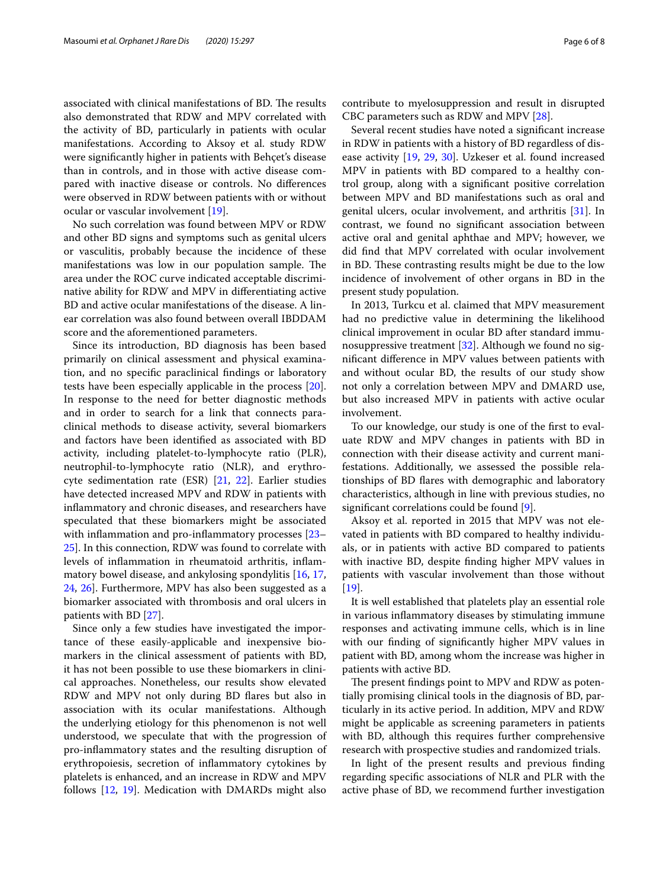associated with clinical manifestations of BD. The results also demonstrated that RDW and MPV correlated with the activity of BD, particularly in patients with ocular manifestations. According to Aksoy et al. study RDW were signifcantly higher in patients with Behçet's disease than in controls, and in those with active disease compared with inactive disease or controls. No diferences were observed in RDW between patients with or without ocular or vascular involvement [\[19](#page-6-18)].

No such correlation was found between MPV or RDW and other BD signs and symptoms such as genital ulcers or vasculitis, probably because the incidence of these manifestations was low in our population sample. The area under the ROC curve indicated acceptable discriminative ability for RDW and MPV in diferentiating active BD and active ocular manifestations of the disease. A linear correlation was also found between overall IBDDAM score and the aforementioned parameters.

Since its introduction, BD diagnosis has been based primarily on clinical assessment and physical examination, and no specifc paraclinical fndings or laboratory tests have been especially applicable in the process [\[20](#page-7-1)]. In response to the need for better diagnostic methods and in order to search for a link that connects paraclinical methods to disease activity, several biomarkers and factors have been identifed as associated with BD activity, including platelet-to-lymphocyte ratio (PLR), neutrophil-to-lymphocyte ratio (NLR), and erythrocyte sedimentation rate (ESR) [\[21](#page-7-0), [22\]](#page-7-2). Earlier studies have detected increased MPV and RDW in patients with infammatory and chronic diseases, and researchers have speculated that these biomarkers might be associated with inflammation and pro-inflammatory processes [[23–](#page-7-3) [25\]](#page-7-4). In this connection, RDW was found to correlate with levels of infammation in rheumatoid arthritis, infammatory bowel disease, and ankylosing spondylitis [[16,](#page-6-15) [17](#page-6-16), [24,](#page-7-5) [26\]](#page-7-6). Furthermore, MPV has also been suggested as a biomarker associated with thrombosis and oral ulcers in patients with BD [[27\]](#page-7-7).

Since only a few studies have investigated the importance of these easily-applicable and inexpensive biomarkers in the clinical assessment of patients with BD, it has not been possible to use these biomarkers in clinical approaches. Nonetheless, our results show elevated RDW and MPV not only during BD fares but also in association with its ocular manifestations. Although the underlying etiology for this phenomenon is not well understood, we speculate that with the progression of pro-infammatory states and the resulting disruption of erythropoiesis, secretion of infammatory cytokines by platelets is enhanced, and an increase in RDW and MPV follows [[12,](#page-6-11) [19\]](#page-6-18). Medication with DMARDs might also contribute to myelosuppression and result in disrupted CBC parameters such as RDW and MPV [\[28](#page-7-8)].

Several recent studies have noted a signifcant increase in RDW in patients with a history of BD regardless of disease activity [\[19,](#page-6-18) [29](#page-7-9), [30\]](#page-7-10). Uzkeser et al. found increased MPV in patients with BD compared to a healthy control group, along with a signifcant positive correlation between MPV and BD manifestations such as oral and genital ulcers, ocular involvement, and arthritis [[31\]](#page-7-11). In contrast, we found no signifcant association between active oral and genital aphthae and MPV; however, we did fnd that MPV correlated with ocular involvement in BD. These contrasting results might be due to the low incidence of involvement of other organs in BD in the present study population.

In 2013, Turkcu et al. claimed that MPV measurement had no predictive value in determining the likelihood clinical improvement in ocular BD after standard immunosuppressive treatment [\[32](#page-7-12)]. Although we found no signifcant diference in MPV values between patients with and without ocular BD, the results of our study show not only a correlation between MPV and DMARD use, but also increased MPV in patients with active ocular involvement.

To our knowledge, our study is one of the frst to evaluate RDW and MPV changes in patients with BD in connection with their disease activity and current manifestations. Additionally, we assessed the possible relationships of BD fares with demographic and laboratory characteristics, although in line with previous studies, no signifcant correlations could be found [[9\]](#page-6-8).

Aksoy et al. reported in 2015 that MPV was not elevated in patients with BD compared to healthy individuals, or in patients with active BD compared to patients with inactive BD, despite fnding higher MPV values in patients with vascular involvement than those without [[19\]](#page-6-18).

It is well established that platelets play an essential role in various infammatory diseases by stimulating immune responses and activating immune cells, which is in line with our fnding of signifcantly higher MPV values in patient with BD, among whom the increase was higher in patients with active BD.

The present findings point to MPV and RDW as potentially promising clinical tools in the diagnosis of BD, particularly in its active period. In addition, MPV and RDW might be applicable as screening parameters in patients with BD, although this requires further comprehensive research with prospective studies and randomized trials.

In light of the present results and previous fnding regarding specifc associations of NLR and PLR with the active phase of BD, we recommend further investigation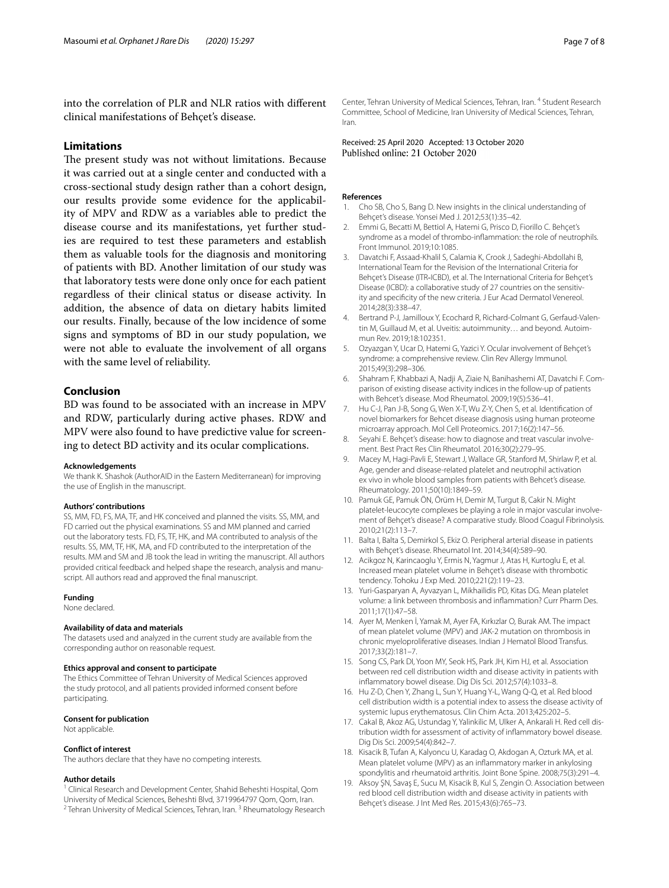into the correlation of PLR and NLR ratios with diferent clinical manifestations of Behçet's disease.

#### **Limitations**

The present study was not without limitations. Because it was carried out at a single center and conducted with a cross-sectional study design rather than a cohort design, our results provide some evidence for the applicability of MPV and RDW as a variables able to predict the disease course and its manifestations, yet further studies are required to test these parameters and establish them as valuable tools for the diagnosis and monitoring of patients with BD. Another limitation of our study was that laboratory tests were done only once for each patient regardless of their clinical status or disease activity. In addition, the absence of data on dietary habits limited our results. Finally, because of the low incidence of some signs and symptoms of BD in our study population, we were not able to evaluate the involvement of all organs with the same level of reliability.

### **Conclusion**

BD was found to be associated with an increase in MPV and RDW, particularly during active phases. RDW and MPV were also found to have predictive value for screening to detect BD activity and its ocular complications.

#### **Acknowledgements**

We thank K. Shashok (AuthorAID in the Eastern Mediterranean) for improving the use of English in the manuscript.

#### **Authors' contributions**

SS, MM, FD, FS, MA, TF, and HK conceived and planned the visits. SS, MM, and FD carried out the physical examinations. SS and MM planned and carried out the laboratory tests. FD, FS, TF, HK, and MA contributed to analysis of the results. SS, MM, TF, HK, MA, and FD contributed to the interpretation of the results. MM and SM and JB took the lead in writing the manuscript. All authors provided critical feedback and helped shape the research, analysis and manuscript. All authors read and approved the fnal manuscript.

#### **Funding**

None declared.

#### **Availability of data and materials**

The datasets used and analyzed in the current study are available from the corresponding author on reasonable request.

#### **Ethics approval and consent to participate**

The Ethics Committee of Tehran University of Medical Sciences approved the study protocol, and all patients provided informed consent before participating.

#### **Consent for publication**

Not applicable.

#### **Conflict of interest**

The authors declare that they have no competing interests.

#### **Author details**

<sup>1</sup> Clinical Research and Development Center, Shahid Beheshti Hospital, Qom University of Medical Sciences, Beheshti Blvd, 3719964797 Qom, Qom, Iran.<br><sup>2</sup> Tehran University of Medical Sciences, Tehran, Iran. <sup>3</sup> Rheumatology Research Center, Tehran University of Medical Sciences, Tehran, Iran. <sup>4</sup> Student Research Committee, School of Medicine, Iran University of Medical Sciences, Tehran, Iran.

Received: 25 April 2020 Accepted: 13 October 2020 Published online: 21 October 2020

#### **References**

- <span id="page-6-0"></span>1. Cho SB, Cho S, Bang D. New insights in the clinical understanding of Behçet's disease. Yonsei Med J. 2012;53(1):35–42.
- <span id="page-6-1"></span>2. Emmi G, Becatti M, Bettiol A, Hatemi G, Prisco D, Fiorillo C. Behçet's syndrome as a model of thrombo-infammation: the role of neutrophils. Front Immunol. 2019;10:1085.
- <span id="page-6-2"></span>3. Davatchi F, Assaad-Khalil S, Calamia K, Crook J, Sadeghi-Abdollahi B, International Team for the Revision of the International Criteria for Behçet's Disease (ITR‐ICBD), et al. The International Criteria for Behçet's Disease (ICBD): a collaborative study of 27 countries on the sensitivity and specifcity of the new criteria. J Eur Acad Dermatol Venereol. 2014;28(3):338–47.
- <span id="page-6-3"></span>4. Bertrand P-J, Jamilloux Y, Ecochard R, Richard-Colmant G, Gerfaud-Valentin M, Guillaud M, et al. Uveitis: autoimmunity… and beyond. Autoimmun Rev. 2019;18:102351.
- <span id="page-6-4"></span>5. Ozyazgan Y, Ucar D, Hatemi G, Yazici Y. Ocular involvement of Behçet's syndrome: a comprehensive review. Clin Rev Allergy Immunol. 2015;49(3):298–306.
- <span id="page-6-5"></span>6. Shahram F, Khabbazi A, Nadji A, Ziaie N, Banihashemi AT, Davatchi F. Comparison of existing disease activity indices in the follow-up of patients with Behcet's disease. Mod Rheumatol. 2009;19(5):536–41.
- <span id="page-6-6"></span>7. Hu C-J, Pan J-B, Song G, Wen X-T, Wu Z-Y, Chen S, et al. Identifcation of novel biomarkers for Behcet disease diagnosis using human proteome microarray approach. Mol Cell Proteomics. 2017;16(2):147–56.
- <span id="page-6-7"></span>8. Seyahi E. Behçet's disease: how to diagnose and treat vascular involvement. Best Pract Res Clin Rheumatol. 2016;30(2):279–95.
- <span id="page-6-8"></span>9. Macey M, Hagi-Pavli E, Stewart J, Wallace GR, Stanford M, Shirlaw P, et al. Age, gender and disease-related platelet and neutrophil activation ex vivo in whole blood samples from patients with Behcet's disease. Rheumatology. 2011;50(10):1849–59.
- <span id="page-6-9"></span>10. Pamuk GE, Pamuk ÖN, Örüm H, Demir M, Turgut B, Cakir N. Might platelet-leucocyte complexes be playing a role in major vascular involvement of Behçet's disease? A comparative study. Blood Coagul Fibrinolysis. 2010;21(2):113–7.
- <span id="page-6-10"></span>11. Balta I, Balta S, Demirkol S, Ekiz O. Peripheral arterial disease in patients with Behçet's disease. Rheumatol Int. 2014;34(4):589–90.
- <span id="page-6-11"></span>12. Acikgoz N, Karincaoglu Y, Ermis N, Yagmur J, Atas H, Kurtoglu E, et al. Increased mean platelet volume in Behçet's disease with thrombotic tendency. Tohoku J Exp Med. 2010;221(2):119–23.
- <span id="page-6-12"></span>13. Yuri-Gasparyan A, Ayvazyan L, Mikhailidis PD, Kitas DG. Mean platelet volume: a link between thrombosis and infammation? Curr Pharm Des. 2011;17(1):47–58.
- <span id="page-6-13"></span>14. Ayer M, Menken İ, Yamak M, Ayer FA, Kırkızlar O, Burak AM. The impact of mean platelet volume (MPV) and JAK-2 mutation on thrombosis in chronic myeloproliferative diseases. Indian J Hematol Blood Transfus. 2017;33(2):181–7.
- <span id="page-6-14"></span>15. Song CS, Park DI, Yoon MY, Seok HS, Park JH, Kim HJ, et al. Association between red cell distribution width and disease activity in patients with infammatory bowel disease. Dig Dis Sci. 2012;57(4):1033–8.
- <span id="page-6-15"></span>16. Hu Z-D, Chen Y, Zhang L, Sun Y, Huang Y-L, Wang Q-Q, et al. Red blood cell distribution width is a potential index to assess the disease activity of systemic lupus erythematosus. Clin Chim Acta. 2013;425:202–5.
- <span id="page-6-16"></span>17. Cakal B, Akoz AG, Ustundag Y, Yalinkilic M, Ulker A, Ankarali H. Red cell distribution width for assessment of activity of infammatory bowel disease. Dig Dis Sci. 2009;54(4):842–7.
- <span id="page-6-17"></span>18. Kisacik B, Tufan A, Kalyoncu U, Karadag O, Akdogan A, Ozturk MA, et al. Mean platelet volume (MPV) as an infammatory marker in ankylosing spondylitis and rheumatoid arthritis. Joint Bone Spine. 2008;75(3):291–4.
- <span id="page-6-18"></span>19. Aksoy ŞN, Savaş E, Sucu M, Kisacik B, Kul S, Zengin O. Association between red blood cell distribution width and disease activity in patients with Behçet's disease. J Int Med Res. 2015;43(6):765–73.